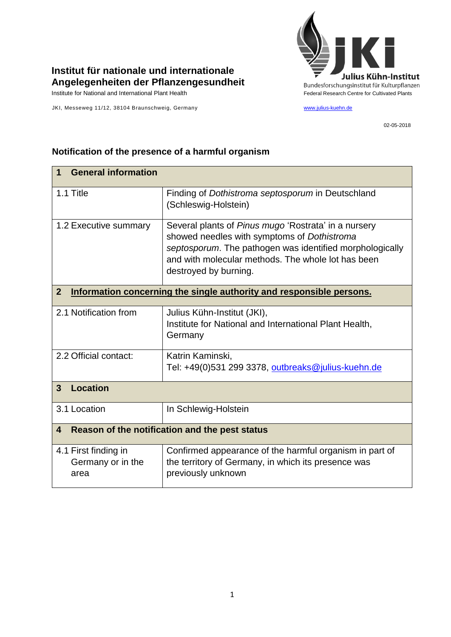

## **Institut für nationale und internationale Angelegenheiten der Pflanzengesundheit**

JKI, Messeweg 11/12, 38104 Braunschweig, Germany [www.julius-kuehn.de](http://www.julius-kuehn.de/)

02-05-2018

| <b>General information</b><br>1                                                        |                                                                                                                                                                                                                                                |  |
|----------------------------------------------------------------------------------------|------------------------------------------------------------------------------------------------------------------------------------------------------------------------------------------------------------------------------------------------|--|
| 1.1 Title                                                                              | Finding of Dothistroma septosporum in Deutschland<br>(Schleswig-Holstein)                                                                                                                                                                      |  |
| 1.2 Executive summary                                                                  | Several plants of Pinus mugo 'Rostrata' in a nursery<br>showed needles with symptoms of Dothistroma<br>septosporum. The pathogen was identified morphologically<br>and with molecular methods. The whole lot has been<br>destroyed by burning. |  |
| $\overline{2}$<br>Information concerning the single authority and responsible persons. |                                                                                                                                                                                                                                                |  |
| 2.1 Notification from                                                                  | Julius Kühn-Institut (JKI),<br>Institute for National and International Plant Health,<br>Germany                                                                                                                                               |  |
| 2.2 Official contact:                                                                  | Katrin Kaminski,<br>Tel: +49(0)531 299 3378, outbreaks@julius-kuehn.de                                                                                                                                                                         |  |
| <b>Location</b><br>3                                                                   |                                                                                                                                                                                                                                                |  |
| 3.1 Location                                                                           | In Schlewig-Holstein                                                                                                                                                                                                                           |  |
| Reason of the notification and the pest status<br>4                                    |                                                                                                                                                                                                                                                |  |
| 4.1 First finding in<br>Germany or in the<br>area                                      | Confirmed appearance of the harmful organism in part of<br>the territory of Germany, in which its presence was<br>previously unknown                                                                                                           |  |

## **Notification of the presence of a harmful organism**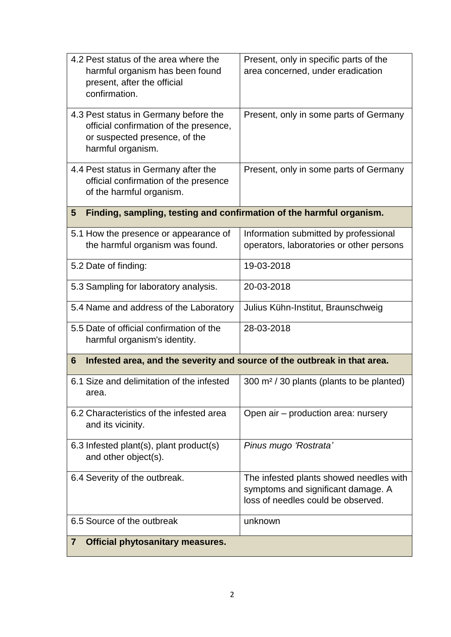| 4.2 Pest status of the area where the<br>harmful organism has been found<br>present, after the official<br>confirmation.              | Present, only in specific parts of the<br>area concerned, under eradication                                         |  |
|---------------------------------------------------------------------------------------------------------------------------------------|---------------------------------------------------------------------------------------------------------------------|--|
| 4.3 Pest status in Germany before the<br>official confirmation of the presence,<br>or suspected presence, of the<br>harmful organism. | Present, only in some parts of Germany                                                                              |  |
| 4.4 Pest status in Germany after the<br>official confirmation of the presence<br>of the harmful organism.                             | Present, only in some parts of Germany                                                                              |  |
| Finding, sampling, testing and confirmation of the harmful organism.<br>5                                                             |                                                                                                                     |  |
| 5.1 How the presence or appearance of<br>the harmful organism was found.                                                              | Information submitted by professional<br>operators, laboratories or other persons                                   |  |
| 5.2 Date of finding:                                                                                                                  | 19-03-2018                                                                                                          |  |
| 5.3 Sampling for laboratory analysis.                                                                                                 | 20-03-2018                                                                                                          |  |
| 5.4 Name and address of the Laboratory                                                                                                | Julius Kühn-Institut, Braunschweig                                                                                  |  |
| 5.5 Date of official confirmation of the<br>harmful organism's identity.                                                              | 28-03-2018                                                                                                          |  |
| Infested area, and the severity and source of the outbreak in that area.<br>6                                                         |                                                                                                                     |  |
| 6.1 Size and delimitation of the infested<br>area.                                                                                    | 300 m <sup>2</sup> / 30 plants (plants to be planted)                                                               |  |
| 6.2 Characteristics of the infested area<br>and its vicinity.                                                                         | Open air - production area: nursery                                                                                 |  |
| 6.3 Infested plant(s), plant product(s)<br>and other object(s).                                                                       | Pinus mugo 'Rostrata'                                                                                               |  |
| 6.4 Severity of the outbreak.                                                                                                         | The infested plants showed needles with<br>symptoms and significant damage. A<br>loss of needles could be observed. |  |
| 6.5 Source of the outbreak                                                                                                            | unknown                                                                                                             |  |
| <b>Official phytosanitary measures.</b><br>$\overline{7}$                                                                             |                                                                                                                     |  |